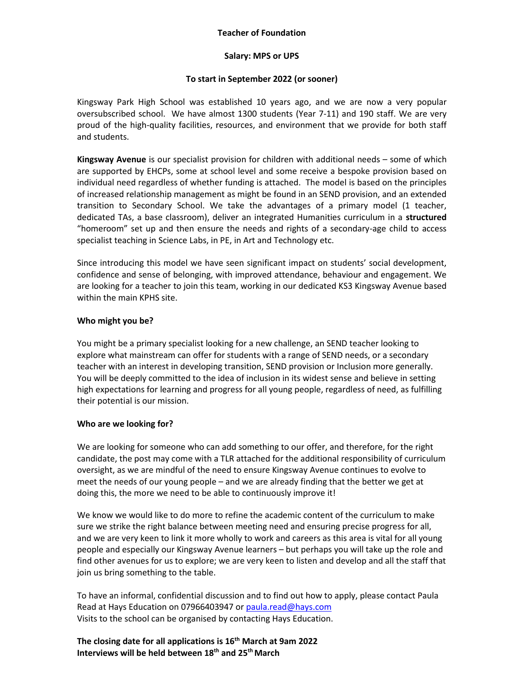## **Teacher of Foundation**

#### **Salary: MPS or UPS**

### **To start in September 2022 (or sooner)**

Kingsway Park High School was established 10 years ago, and we are now a very popular oversubscribed school. We have almost 1300 students (Year 7-11) and 190 staff. We are very proud of the high-quality facilities, resources, and environment that we provide for both staff and students.

**Kingsway Avenue** is our specialist provision for children with additional needs – some of which are supported by EHCPs, some at school level and some receive a bespoke provision based on individual need regardless of whether funding is attached. The model is based on the principles of increased relationship management as might be found in an SEND provision, and an extended transition to Secondary School. We take the advantages of a primary model (1 teacher, dedicated TAs, a base classroom), deliver an integrated Humanities curriculum in a **structured** "homeroom" set up and then ensure the needs and rights of a secondary-age child to access specialist teaching in Science Labs, in PE, in Art and Technology etc.

Since introducing this model we have seen significant impact on students' social development, confidence and sense of belonging, with improved attendance, behaviour and engagement. We are looking for a teacher to join this team, working in our dedicated KS3 Kingsway Avenue based within the main KPHS site.

#### **Who might you be?**

You might be a primary specialist looking for a new challenge, an SEND teacher looking to explore what mainstream can offer for students with a range of SEND needs, or a secondary teacher with an interest in developing transition, SEND provision or Inclusion more generally. You will be deeply committed to the idea of inclusion in its widest sense and believe in setting high expectations for learning and progress for all young people, regardless of need, as fulfilling their potential is our mission.

#### **Who are we looking for?**

We are looking for someone who can add something to our offer, and therefore, for the right candidate, the post may come with a TLR attached for the additional responsibility of curriculum oversight, as we are mindful of the need to ensure Kingsway Avenue continues to evolve to meet the needs of our young people – and we are already finding that the better we get at doing this, the more we need to be able to continuously improve it!

We know we would like to do more to refine the academic content of the curriculum to make sure we strike the right balance between meeting need and ensuring precise progress for all, and we are very keen to link it more wholly to work and careers as this area is vital for all young people and especially our Kingsway Avenue learners – but perhaps you will take up the role and find other avenues for us to explore; we are very keen to listen and develop and all the staff that join us bring something to the table.

To have an informal, confidential discussion and to find out how to apply, please contact Paula Read at Hays Education on 07966403947 o[r paula.read@hays.com](mailto:paula.read@hays.com) Visits to the school can be organised by contacting Hays Education.

# **The closing date for all applications is 16 th March at 9am 2022 Interviews will be held between 18th and 25 thMarch**